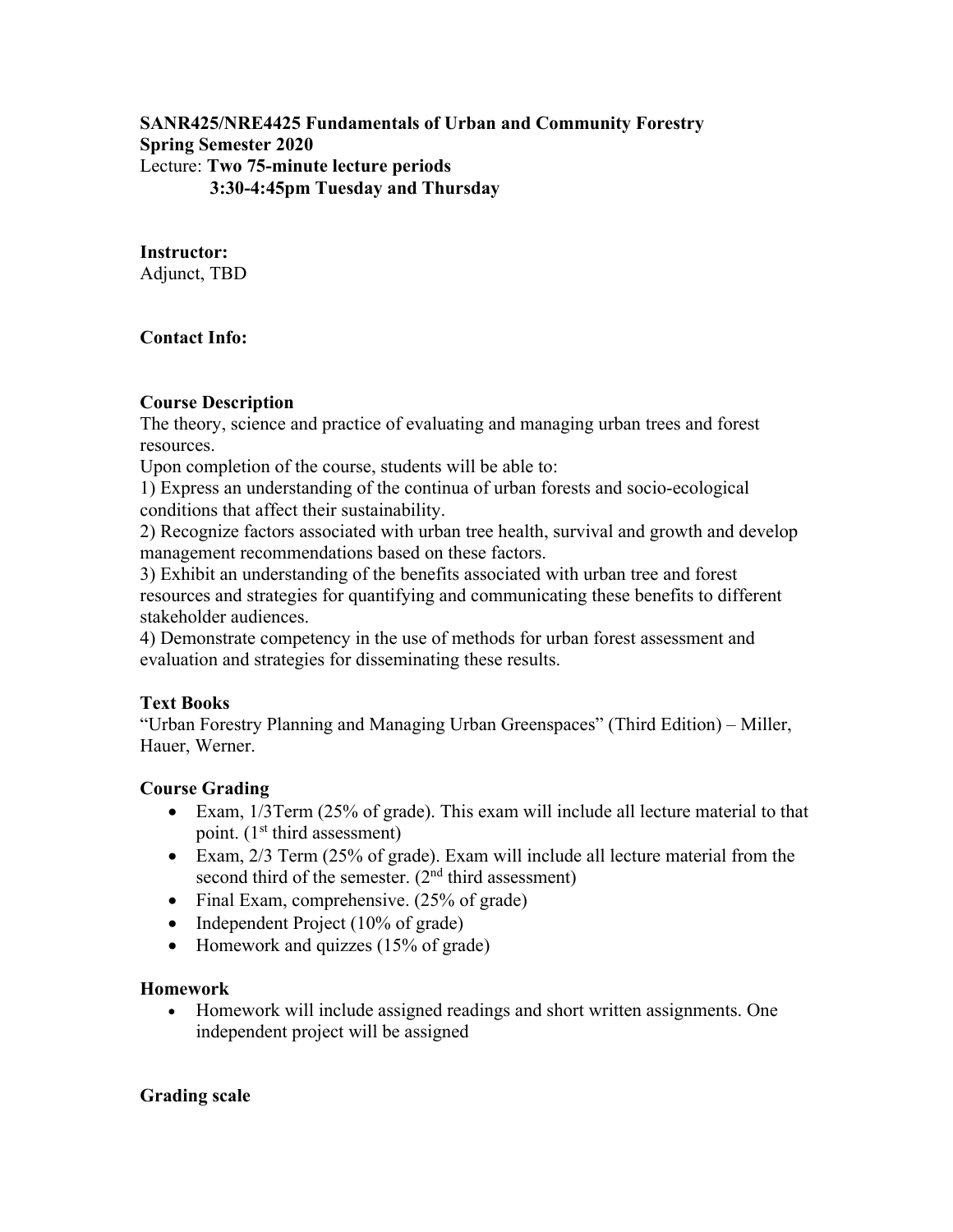**SANR425/NRE4425 Fundamentals of Urban and Community Forestry Spring Semester 2020**  Lecture: **Two 75-minute lecture periods 3:30-4:45pm Tuesday and Thursday** 

### **Instructor:**

Adjunct, TBD

# **Contact Info:**

# **Course Description**

The theory, science and practice of evaluating and managing urban trees and forest resources.

Upon completion of the course, students will be able to:

1) Express an understanding of the continua of urban forests and socio-ecological conditions that affect their sustainability.

2) Recognize factors associated with urban tree health, survival and growth and develop management recommendations based on these factors.

3) Exhibit an understanding of the benefits associated with urban tree and forest resources and strategies for quantifying and communicating these benefits to different stakeholder audiences.

4) Demonstrate competency in the use of methods for urban forest assessment and evaluation and strategies for disseminating these results.

# **Text Books**

"Urban Forestry Planning and Managing Urban Greenspaces" (Third Edition) – Miller, Hauer, Werner.

# **Course Grading**

- Exam, 1/3Term (25% of grade). This exam will include all lecture material to that point.  $(1<sup>st</sup> third assessment)$
- Exam, 2/3 Term (25% of grade). Exam will include all lecture material from the second third of the semester.  $(2<sup>nd</sup>$  third assessment)
- Final Exam, comprehensive. (25% of grade)
- Independent Project  $(10\% \text{ of grade})$
- Homework and quizzes  $(15\% \text{ of grade})$

#### **Homework**

 Homework will include assigned readings and short written assignments. One independent project will be assigned

#### **Grading scale**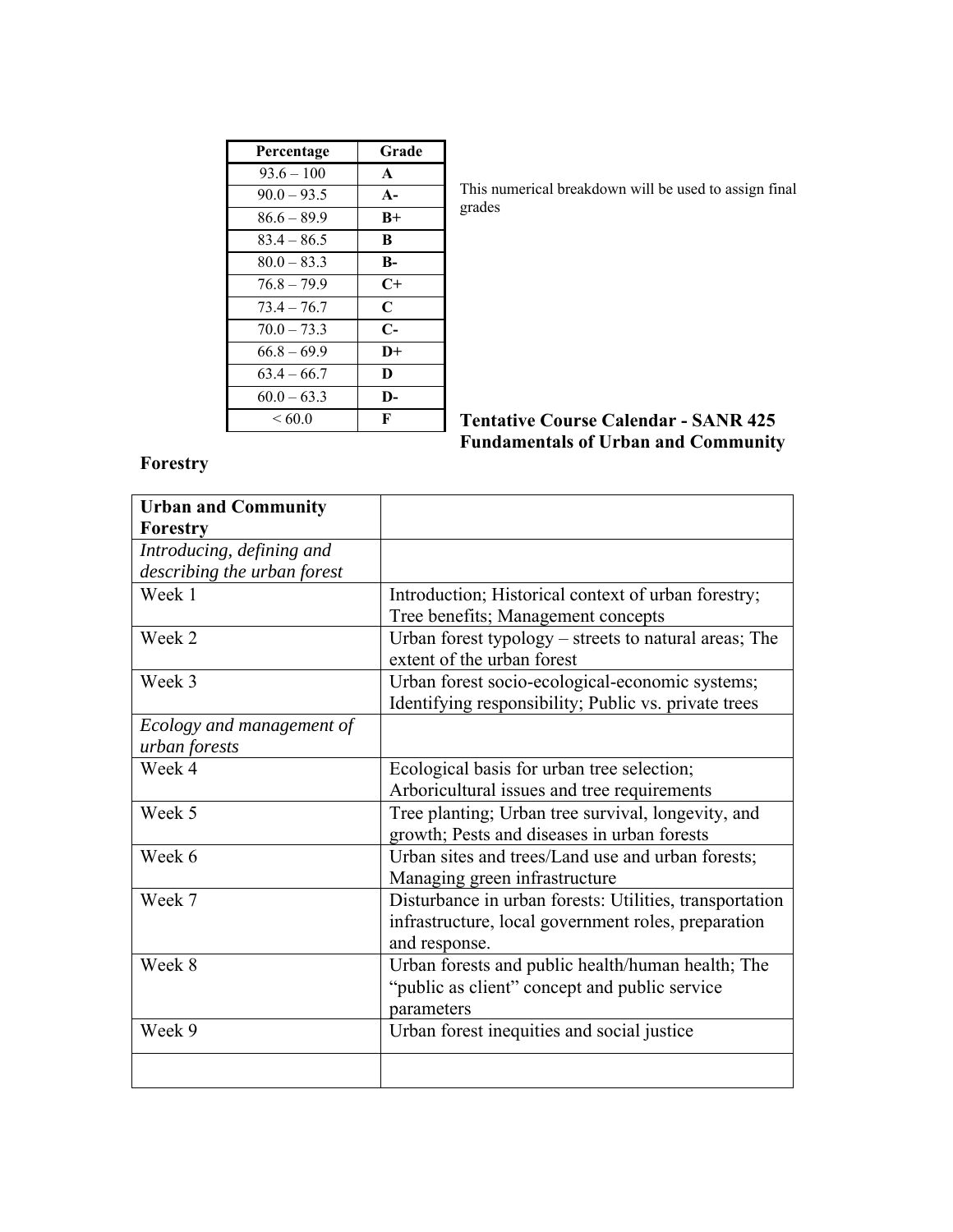| Percentage    | Grade        |
|---------------|--------------|
| $93.6 - 100$  | $\mathbf{A}$ |
| $90.0 - 93.5$ | $A -$        |
| $86.6 - 89.9$ | $B+$         |
| $83.4 - 86.5$ | B            |
| $80.0 - 83.3$ | B-           |
| $76.8 - 79.9$ | $C+$         |
| $73.4 - 76.7$ | $\mathbf C$  |
| $70.0 - 73.3$ | $C-$         |
| $66.8 - 69.9$ | $D+$         |
| $63.4 - 66.7$ | D            |
| $60.0 - 63.3$ | D-           |
| ${}< 60.0$    | F            |

This numerical breakdown will be used to assign final grades

# **Tentative Course Calendar - SANR 425 Fundamentals of Urban and Community**

# **Forestry**

| <b>Urban and Community</b>  |                                                         |
|-----------------------------|---------------------------------------------------------|
| <b>Forestry</b>             |                                                         |
| Introducing, defining and   |                                                         |
| describing the urban forest |                                                         |
| Week 1                      | Introduction; Historical context of urban forestry;     |
|                             | Tree benefits; Management concepts                      |
| Week 2                      | Urban forest typology – streets to natural areas; The   |
|                             | extent of the urban forest                              |
| Week 3                      | Urban forest socio-ecological-economic systems;         |
|                             | Identifying responsibility; Public vs. private trees    |
| Ecology and management of   |                                                         |
| urban forests               |                                                         |
| Week 4                      | Ecological basis for urban tree selection;              |
|                             | Arboricultural issues and tree requirements             |
| Week 5                      | Tree planting; Urban tree survival, longevity, and      |
|                             | growth; Pests and diseases in urban forests             |
| Week 6                      | Urban sites and trees/Land use and urban forests;       |
|                             | Managing green infrastructure                           |
| Week 7                      | Disturbance in urban forests: Utilities, transportation |
|                             | infrastructure, local government roles, preparation     |
|                             | and response.                                           |
| Week 8                      | Urban forests and public health/human health; The       |
|                             | "public as client" concept and public service           |
|                             | parameters                                              |
| Week 9                      | Urban forest inequities and social justice              |
|                             |                                                         |
|                             |                                                         |